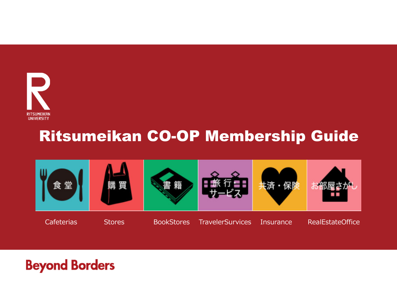

#### Ritsumeikan CO-OP Membership Guide

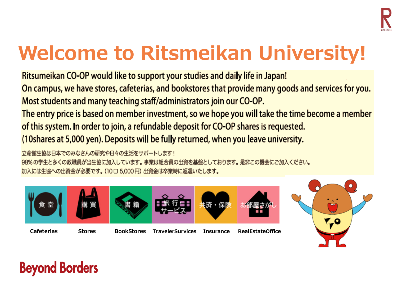

# **Welcome to Ritsmeikan University!**

Ritsumeikan CO-OP would like to support your studies and daily life in Japan! On campus, we have stores, cafeterias, and bookstores that provide many goods and services for you. Most students and many teaching staff/administrators join our CO-OP.

The entry price is based on member investment, so we hope you will take the time become a member of this system. In order to join, a refundable deposit for CO-OP shares is requested. (10shares at 5,000 yen). Deposits will be fully returned, when you leave university.

立命館生協は日本でのみなさんの研究や日々の生活をサポートします! 98%の学生と多くの教職員が当生協に加入しています。事業は組合員の出資を基盤としております。是非この機会にご加入ください。 加入には生協への出資金が必要です。(10口5.000円)出資金は卒業時に返還いたします。



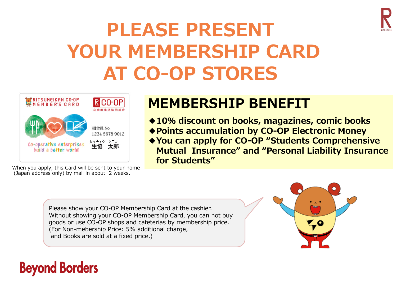

# **PLEASE PRESENTYOUR MEMBERSHIP CARDAT CO-OP STORES**



#### **MEMBERSHIP BENEFIT**

◆10% discount on books, magazines, comic books **◆Points accumulation by CO-OP Electronic Money ◆You can apply for CO-OP "Students Comprehensive Mutual Insurance" and "Personal Liability Insurance for Students"**

When you apply, this Card will be sent to your home (Japan address only) by mail in about 2 weeks.

> Please show your CO-OP Membership Card at the cashier. Without showing your CO-OP Membership Card, you can not buy goods or use CO-OP shops and cafeterias by membership price. (For Non-mebership Price: 5% additional charge, and Books are sold at a fixed price.)

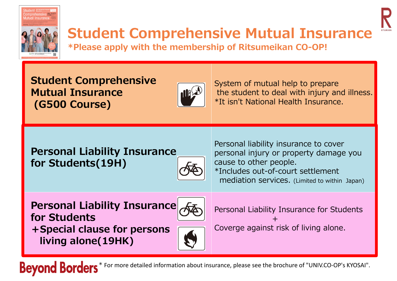

# **Student Comprehensive Mutual Insurance**

**\*Please apply with the membership of Ritsumeikan CO-OP!**

**Student Comprehensive Mutual Insurance(G500 Course)**



System of mutual help to prepare the student to deal with injury and illness. \*It isn't National Health Insurance.

#### **Personal Liability Insurance for Students(19H)**



Personal liability insurance to cover personal injury or property damage you cause to other people. \*Includes out-of-court settlement mediation services. (Limited to within Japan)

Darconal Liahility Tncurang **Personal Liability Insurance for Students+Special clause for persons living alone(19HK)**



Personal Liability Insurance for Students +Coverge against risk of living alone.

**Beyond Borders** \* For more detailed information about insurance, please see the brochure of "UNIV.CO‐OP's KYOSAI".